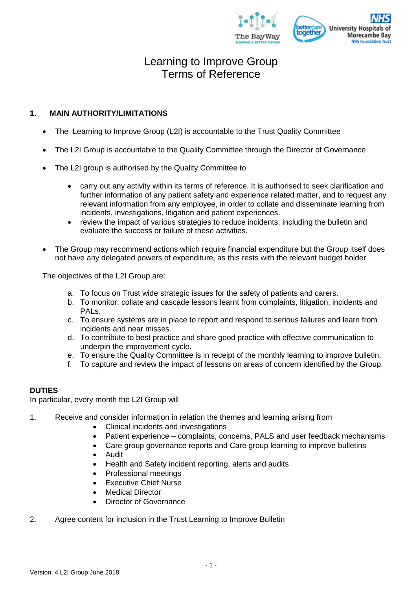

## **1. MAIN AUTHORITY/LIMITATIONS**

- The Learning to Improve Group (L2I) is accountable to the Trust Quality Committee
- The L2I Group is accountable to the Quality Committee through the Director of Governance
- The L2I group is authorised by the Quality Committee to
	- carry out any activity within its terms of reference. It is authorised to seek clarification and further information of any patient safety and experience related matter, and to request any relevant information from any employee, in order to collate and disseminate learning from incidents, investigations, litigation and patient experiences.
	- review the impact of various strategies to reduce incidents, including the bulletin and evaluate the success or failure of these activities.
- The Group may recommend actions which require financial expenditure but the Group itself does not have any delegated powers of expenditure, as this rests with the relevant budget holder

The objectives of the L2I Group are:

- a. To focus on Trust wide strategic issues for the safety of patients and carers.
- b. To monitor, collate and cascade lessons learnt from complaints, litigation, incidents and PALs.
- c. To ensure systems are in place to report and respond to serious failures and learn from incidents and near misses.
- d. To contribute to best practice and share good practice with effective communication to underpin the improvement cycle.
- e. To ensure the Quality Committee is in receipt of the monthly learning to improve bulletin.
- f. To capture and review the impact of lessons on areas of concern identified by the Group.

## **DUTIES**

In particular, every month the L2I Group will

- 1. Receive and consider information in relation the themes and learning arising from
	- Clinical incidents and investigations
	- Patient experience complaints, concerns, PALS and user feedback mechanisms
	- Care group governance reports and Care group learning to improve bulletins
	- Audit
	- Health and Safety incident reporting, alerts and audits
	- Professional meetings
	- Executive Chief Nurse
	- Medical Director
	- Director of Governance
- 2. Agree content for inclusion in the Trust Learning to Improve Bulletin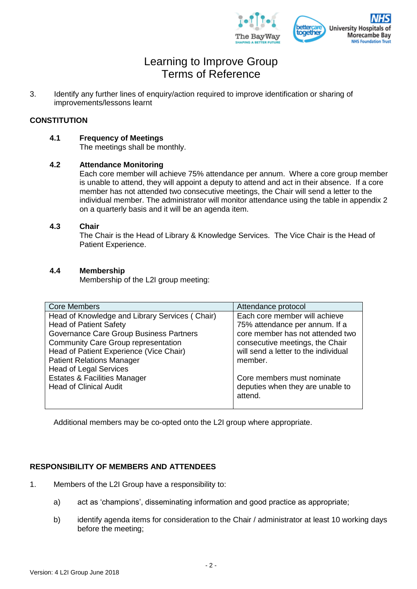

3. Identify any further lines of enquiry/action required to improve identification or sharing of improvements/lessons learnt

## **CONSTITUTION**

**4.1 Frequency of Meetings**

The meetings shall be monthly.

## **4.2 Attendance Monitoring**

Each core member will achieve 75% attendance per annum. Where a core group member is unable to attend, they will appoint a deputy to attend and act in their absence. If a core member has not attended two consecutive meetings, the Chair will send a letter to the individual member. The administrator will monitor attendance using the table in appendix 2 on a quarterly basis and it will be an agenda item.

### **4.3 Chair**

The Chair is the Head of Library & Knowledge Services. The Vice Chair is the Head of Patient Experience.

## **4.4 Membership**

Membership of the L2I group meeting:

| <b>Core Members</b>                            | Attendance protocol                  |
|------------------------------------------------|--------------------------------------|
| Head of Knowledge and Library Services (Chair) | Each core member will achieve        |
| <b>Head of Patient Safety</b>                  | 75% attendance per annum. If a       |
| Governance Care Group Business Partners        | core member has not attended two     |
| <b>Community Care Group representation</b>     | consecutive meetings, the Chair      |
| Head of Patient Experience (Vice Chair)        | will send a letter to the individual |
| <b>Patient Relations Manager</b>               | member.                              |
| <b>Head of Legal Services</b>                  |                                      |
| <b>Estates &amp; Facilities Manager</b>        | Core members must nominate           |
| <b>Head of Clinical Audit</b>                  | deputies when they are unable to     |
|                                                | attend.                              |
|                                                |                                      |

Additional members may be co-opted onto the L2I group where appropriate.

## **RESPONSIBILITY OF MEMBERS AND ATTENDEES**

- 1. Members of the L2I Group have a responsibility to:
	- a) act as 'champions', disseminating information and good practice as appropriate;
	- b) identify agenda items for consideration to the Chair / administrator at least 10 working days before the meeting;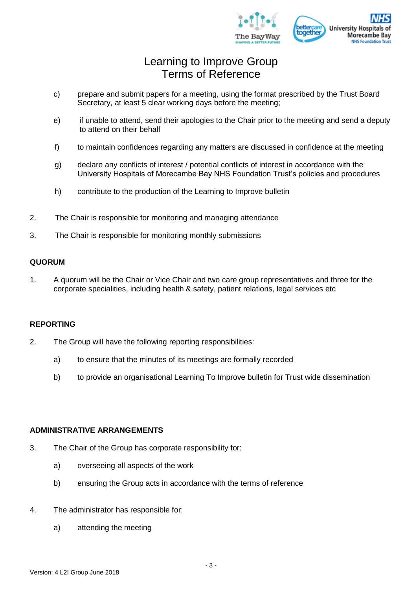

- c) prepare and submit papers for a meeting, using the format prescribed by the Trust Board Secretary, at least 5 clear working days before the meeting;
- e) if unable to attend, send their apologies to the Chair prior to the meeting and send a deputy to attend on their behalf
- f) to maintain confidences regarding any matters are discussed in confidence at the meeting
- g) declare any conflicts of interest / potential conflicts of interest in accordance with the University Hospitals of Morecambe Bay NHS Foundation Trust's policies and procedures
- h) contribute to the production of the Learning to Improve bulletin
- 2. The Chair is responsible for monitoring and managing attendance
- 3. The Chair is responsible for monitoring monthly submissions

#### **QUORUM**

1. A quorum will be the Chair or Vice Chair and two care group representatives and three for the corporate specialities, including health & safety, patient relations, legal services etc

#### **REPORTING**

- 2. The Group will have the following reporting responsibilities:
	- a) to ensure that the minutes of its meetings are formally recorded
	- b) to provide an organisational Learning To Improve bulletin for Trust wide dissemination

#### **ADMINISTRATIVE ARRANGEMENTS**

- 3. The Chair of the Group has corporate responsibility for:
	- a) overseeing all aspects of the work
	- b) ensuring the Group acts in accordance with the terms of reference
- 4. The administrator has responsible for:
	- a) attending the meeting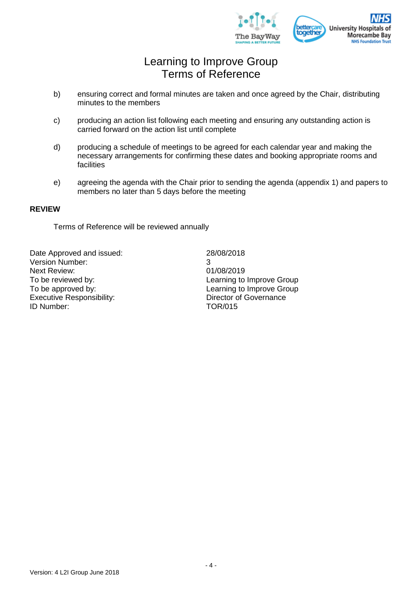

- b) ensuring correct and formal minutes are taken and once agreed by the Chair, distributing minutes to the members
- c) producing an action list following each meeting and ensuring any outstanding action is carried forward on the action list until complete
- d) producing a schedule of meetings to be agreed for each calendar year and making the necessary arrangements for confirming these dates and booking appropriate rooms and facilities
- e) agreeing the agenda with the Chair prior to sending the agenda (appendix 1) and papers to members no later than 5 days before the meeting

### **REVIEW**

Terms of Reference will be reviewed annually

Date Approved and issued: 28/08/2018 Version Number: 3 Next Review: 01/08/2019 To be reviewed by: To be reviewed by: To be approved by:<br>
Executive Responsibility:<br>
Executive Responsibility:<br>
Contract the Director of Governance Executive Responsibility: ID Number: TOR/015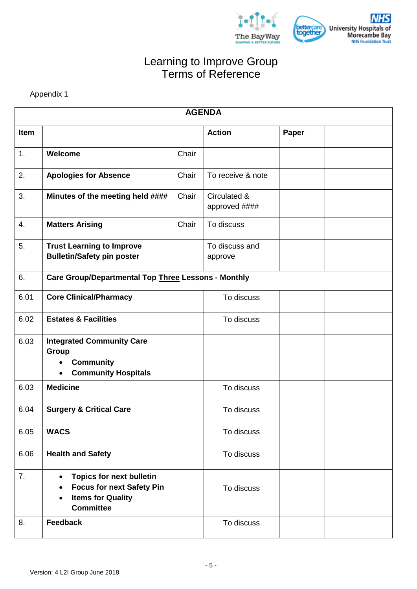



Appendix 1

|      | <b>AGENDA</b>                                                                                                                                 |       |                               |       |  |  |
|------|-----------------------------------------------------------------------------------------------------------------------------------------------|-------|-------------------------------|-------|--|--|
| Item |                                                                                                                                               |       | <b>Action</b>                 | Paper |  |  |
| 1.   | Welcome                                                                                                                                       | Chair |                               |       |  |  |
| 2.   | <b>Apologies for Absence</b>                                                                                                                  | Chair | To receive & note             |       |  |  |
| 3.   | Minutes of the meeting held ####                                                                                                              | Chair | Circulated &<br>approved #### |       |  |  |
| 4.   | <b>Matters Arising</b>                                                                                                                        | Chair | To discuss                    |       |  |  |
| 5.   | <b>Trust Learning to Improve</b><br><b>Bulletin/Safety pin poster</b>                                                                         |       | To discuss and<br>approve     |       |  |  |
| 6.   | Care Group/Departmental Top Three Lessons - Monthly                                                                                           |       |                               |       |  |  |
| 6.01 | <b>Core Clinical/Pharmacy</b>                                                                                                                 |       | To discuss                    |       |  |  |
| 6.02 | <b>Estates &amp; Facilities</b>                                                                                                               |       | To discuss                    |       |  |  |
| 6.03 | <b>Integrated Community Care</b><br>Group<br><b>Community</b><br><b>Community Hospitals</b>                                                   |       |                               |       |  |  |
| 6.03 | <b>Medicine</b>                                                                                                                               |       | To discuss                    |       |  |  |
| 6.04 | <b>Surgery &amp; Critical Care</b>                                                                                                            |       | To discuss                    |       |  |  |
| 6.05 | <b>WACS</b>                                                                                                                                   |       | To discuss                    |       |  |  |
| 6.06 | <b>Health and Safety</b>                                                                                                                      |       | To discuss                    |       |  |  |
| 7.   | <b>Topics for next bulletin</b><br><b>Focus for next Safety Pin</b><br>$\bullet$<br><b>Items for Quality</b><br>$\bullet$<br><b>Committee</b> |       | To discuss                    |       |  |  |
| 8.   | <b>Feedback</b>                                                                                                                               |       | To discuss                    |       |  |  |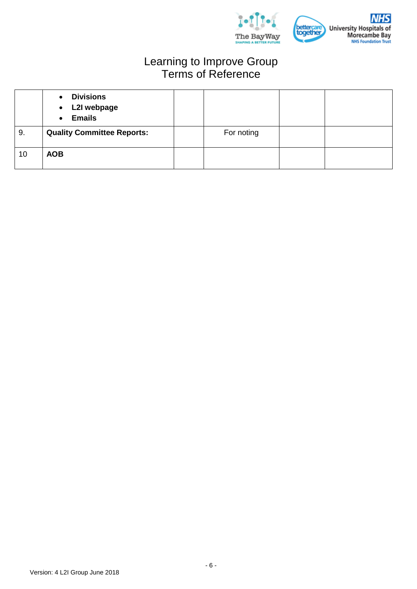

|    | <b>Divisions</b><br>$\bullet$<br>• L2I webpage<br><b>Emails</b><br>$\bullet$ |            |  |
|----|------------------------------------------------------------------------------|------------|--|
| 9. | <b>Quality Committee Reports:</b>                                            | For noting |  |
| 10 | <b>AOB</b>                                                                   |            |  |